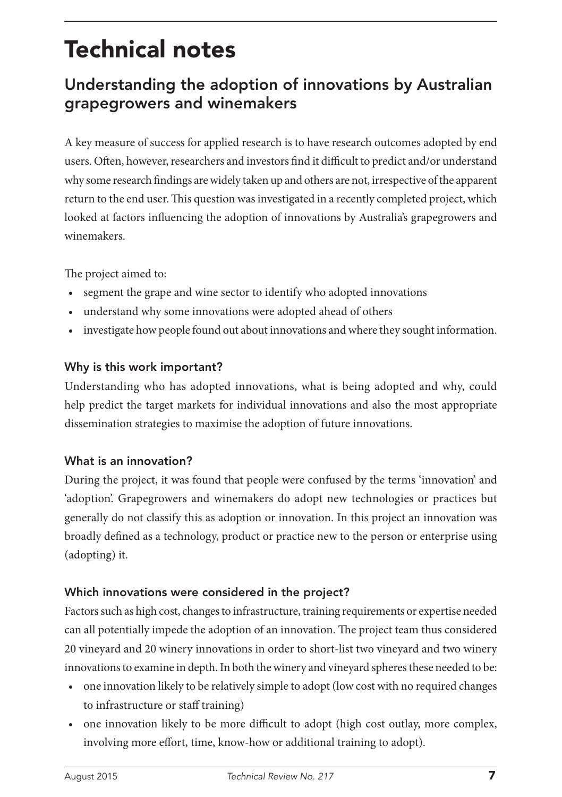# Technical notes

# Understanding the adoption of innovations by Australian grapegrowers and winemakers

A key measure of success for applied research is to have research outcomes adopted by end users. Often, however, researchers and investors find it difficult to predict and/or understand why some research findings are widely taken up and others are not, irrespective of the apparent return to the end user. This question was investigated in a recently completed project, which looked at factors influencing the adoption of innovations by Australia's grapegrowers and winemakers.

The project aimed to:

- segment the grape and wine sector to identify who adopted innovations
- understand why some innovations were adopted ahead of others
- investigate how people found out about innovations and where they sought information.

#### Why is this work important?

Understanding who has adopted innovations, what is being adopted and why, could help predict the target markets for individual innovations and also the most appropriate dissemination strategies to maximise the adoption of future innovations.

#### What is an innovation?

During the project, it was found that people were confused by the terms 'innovation' and 'adoption'. Grapegrowers and winemakers do adopt new technologies or practices but generally do not classify this as adoption or innovation. In this project an innovation was broadly defined as a technology, product or practice new to the person or enterprise using (adopting) it.

## Which innovations were considered in the project?

Factors such as high cost, changes to infrastructure, training requirements or expertise needed can all potentially impede the adoption of an innovation. The project team thus considered 20 vineyard and 20 winery innovations in order to short-list two vineyard and two winery innovations to examine in depth. In both the winery and vineyard spheres these needed to be:

- one innovation likely to be relatively simple to adopt (low cost with no required changes to infrastructure or staff training)
- one innovation likely to be more difficult to adopt (high cost outlay, more complex, involving more effort, time, know-how or additional training to adopt).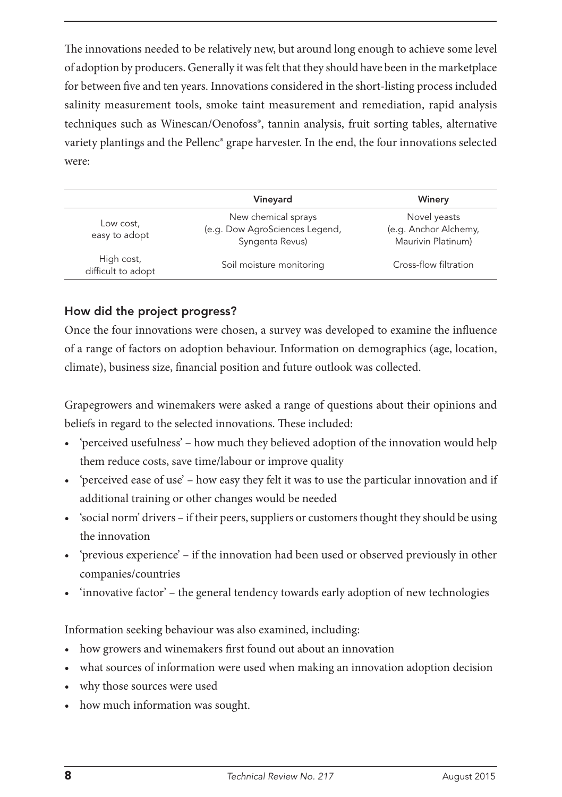The innovations needed to be relatively new, but around long enough to achieve some level of adoption by producers. Generally it was felt that they should have been in the marketplace for between five and ten years. Innovations considered in the short-listing process included salinity measurement tools, smoke taint measurement and remediation, rapid analysis techniques such as Winescan/Oenofoss®, tannin analysis, fruit sorting tables, alternative variety plantings and the Pellenc® grape harvester. In the end, the four innovations selected were:

|                                  | Vineyard                                                                 | Winery                                                      |
|----------------------------------|--------------------------------------------------------------------------|-------------------------------------------------------------|
| Low cost,<br>easy to adopt       | New chemical sprays<br>(e.g. Dow AgroSciences Legend,<br>Syngenta Revus) | Novel yeasts<br>(e.g. Anchor Alchemy,<br>Maurivin Platinum) |
| High cost,<br>difficult to adopt | Soil moisture monitoring                                                 | Cross-flow filtration                                       |

#### How did the project progress?

Once the four innovations were chosen, a survey was developed to examine the influence of a range of factors on adoption behaviour. Information on demographics (age, location, climate), business size, financial position and future outlook was collected.

Grapegrowers and winemakers were asked a range of questions about their opinions and beliefs in regard to the selected innovations. These included:

- 'perceived usefulness' how much they believed adoption of the innovation would help them reduce costs, save time/labour or improve quality
- 'perceived ease of use' how easy they felt it was to use the particular innovation and if additional training or other changes would be needed
- 'social norm' drivers if their peers, suppliers or customers thought they should be using the innovation
- 'previous experience' if the innovation had been used or observed previously in other companies/countries
- 'innovative factor' the general tendency towards early adoption of new technologies

Information seeking behaviour was also examined, including:

- how growers and winemakers first found out about an innovation
- what sources of information were used when making an innovation adoption decision
- why those sources were used
- how much information was sought.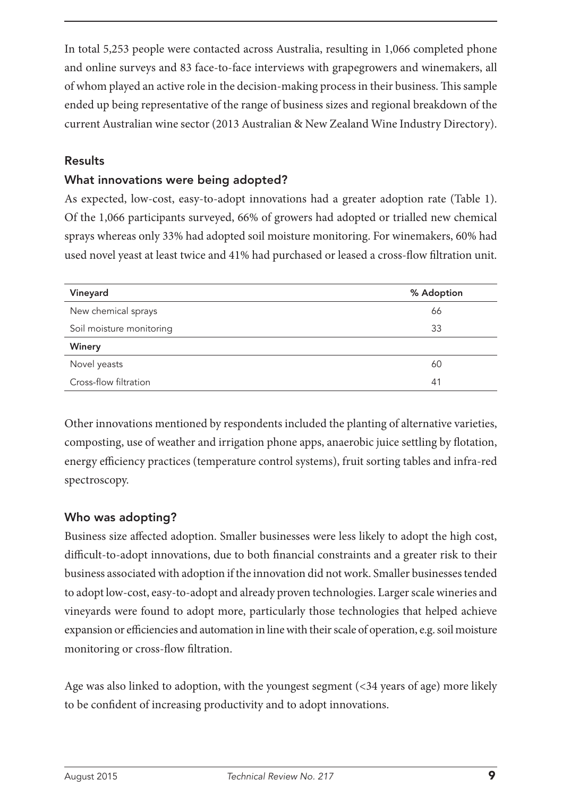In total 5,253 people were contacted across Australia, resulting in 1,066 completed phone and online surveys and 83 face-to-face interviews with grapegrowers and winemakers, all of whom played an active role in the decision-making process in their business. This sample ended up being representative of the range of business sizes and regional breakdown of the current Australian wine sector (2013 Australian & New Zealand Wine Industry Directory).

#### Results

#### What innovations were being adopted?

As expected, low-cost, easy-to-adopt innovations had a greater adoption rate (Table 1). Of the 1,066 participants surveyed, 66% of growers had adopted or trialled new chemical sprays whereas only 33% had adopted soil moisture monitoring. For winemakers, 60% had used novel yeast at least twice and 41% had purchased or leased a cross-flow filtration unit.

| Vineyard                 | % Adoption |
|--------------------------|------------|
| New chemical sprays      | 66         |
| Soil moisture monitoring | 33         |
| Winery                   |            |
| Novel yeasts             | 60         |
| Cross-flow filtration    | 41         |

Other innovations mentioned by respondents included the planting of alternative varieties, composting, use of weather and irrigation phone apps, anaerobic juice settling by flotation, energy efficiency practices (temperature control systems), fruit sorting tables and infra-red spectroscopy.

## Who was adopting?

Business size affected adoption. Smaller businesses were less likely to adopt the high cost, difficult-to-adopt innovations, due to both financial constraints and a greater risk to their business associated with adoption if the innovation did not work. Smaller businesses tended to adopt low-cost, easy-to-adopt and already proven technologies. Larger scale wineries and vineyards were found to adopt more, particularly those technologies that helped achieve expansion or efficiencies and automation in line with their scale of operation, e.g. soil moisture monitoring or cross-flow filtration.

Age was also linked to adoption, with the youngest segment (<34 years of age) more likely to be confident of increasing productivity and to adopt innovations.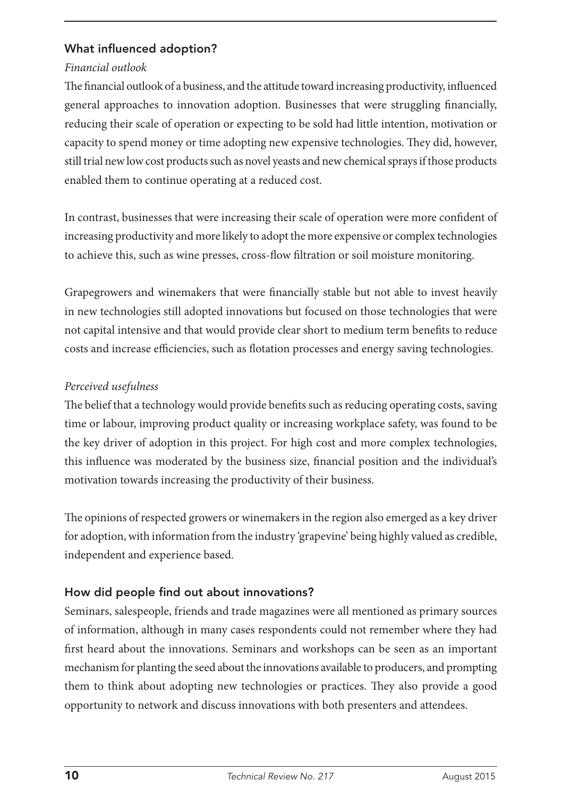#### What influenced adoption?

#### *Financial outlook*

The financial outlook of a business, and the attitude toward increasing productivity, influenced general approaches to innovation adoption. Businesses that were struggling financially, reducing their scale of operation or expecting to be sold had little intention, motivation or capacity to spend money or time adopting new expensive technologies. They did, however, still trial new low cost products such as novel yeasts and new chemical sprays if those products enabled them to continue operating at a reduced cost.

In contrast, businesses that were increasing their scale of operation were more confident of increasing productivity and more likely to adopt the more expensive or complex technologies to achieve this, such as wine presses, cross-flow filtration or soil moisture monitoring.

Grapegrowers and winemakers that were financially stable but not able to invest heavily in new technologies still adopted innovations but focused on those technologies that were not capital intensive and that would provide clear short to medium term benefits to reduce costs and increase efficiencies, such as flotation processes and energy saving technologies.

#### *Perceived usefulness*

The belief that a technology would provide benefits such as reducing operating costs, saving time or labour, improving product quality or increasing workplace safety, was found to be the key driver of adoption in this project. For high cost and more complex technologies, this influence was moderated by the business size, financial position and the individual's motivation towards increasing the productivity of their business.

The opinions of respected growers or winemakers in the region also emerged as a key driver for adoption, with information from the industry 'grapevine' being highly valued as credible, independent and experience based.

## How did people find out about innovations?

Seminars, salespeople, friends and trade magazines were all mentioned as primary sources of information, although in many cases respondents could not remember where they had first heard about the innovations. Seminars and workshops can be seen as an important mechanism for planting the seed about the innovations available to producers, and prompting them to think about adopting new technologies or practices. They also provide a good opportunity to network and discuss innovations with both presenters and attendees.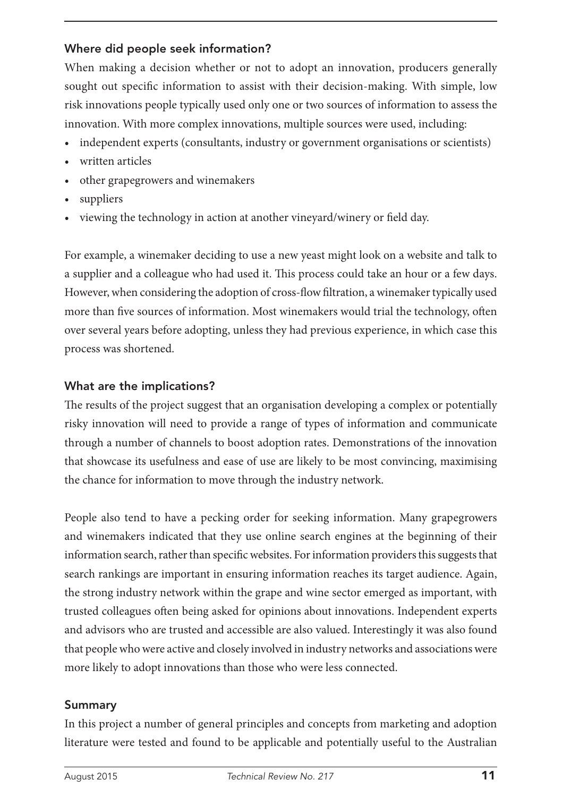## Where did people seek information?

When making a decision whether or not to adopt an innovation, producers generally sought out specific information to assist with their decision-making. With simple, low risk innovations people typically used only one or two sources of information to assess the innovation. With more complex innovations, multiple sources were used, including:

- independent experts (consultants, industry or government organisations or scientists)
- written articles
- other grapegrowers and winemakers
- suppliers
- viewing the technology in action at another vineyard/winery or field day.

For example, a winemaker deciding to use a new yeast might look on a website and talk to a supplier and a colleague who had used it. This process could take an hour or a few days. However, when considering the adoption of cross-flow filtration, a winemaker typically used more than five sources of information. Most winemakers would trial the technology, often over several years before adopting, unless they had previous experience, in which case this process was shortened.

## What are the implications?

The results of the project suggest that an organisation developing a complex or potentially risky innovation will need to provide a range of types of information and communicate through a number of channels to boost adoption rates. Demonstrations of the innovation that showcase its usefulness and ease of use are likely to be most convincing, maximising the chance for information to move through the industry network.

People also tend to have a pecking order for seeking information. Many grapegrowers and winemakers indicated that they use online search engines at the beginning of their information search, rather than specific websites. For information providers this suggests that search rankings are important in ensuring information reaches its target audience. Again, the strong industry network within the grape and wine sector emerged as important, with trusted colleagues often being asked for opinions about innovations. Independent experts and advisors who are trusted and accessible are also valued. Interestingly it was also found that people who were active and closely involved in industry networks and associations were more likely to adopt innovations than those who were less connected.

## Summary

In this project a number of general principles and concepts from marketing and adoption literature were tested and found to be applicable and potentially useful to the Australian